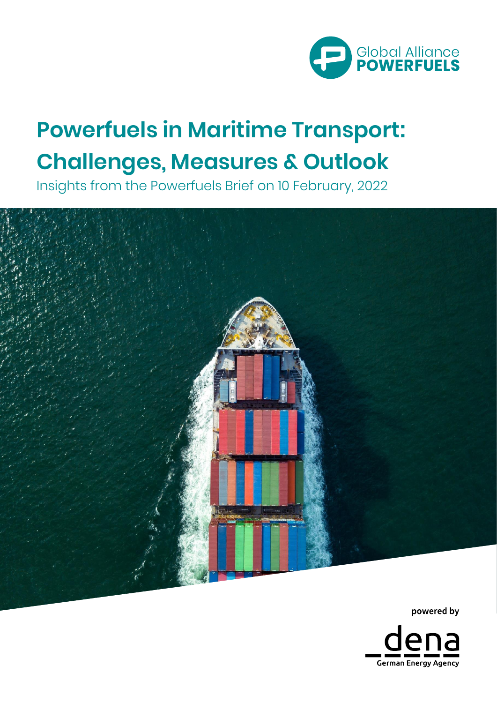

## **Powerfuels in Maritime Transport: Challenges, Measures & Outlook**

Insights from the Powerfuels Brief on 10 February, 2022



powered by

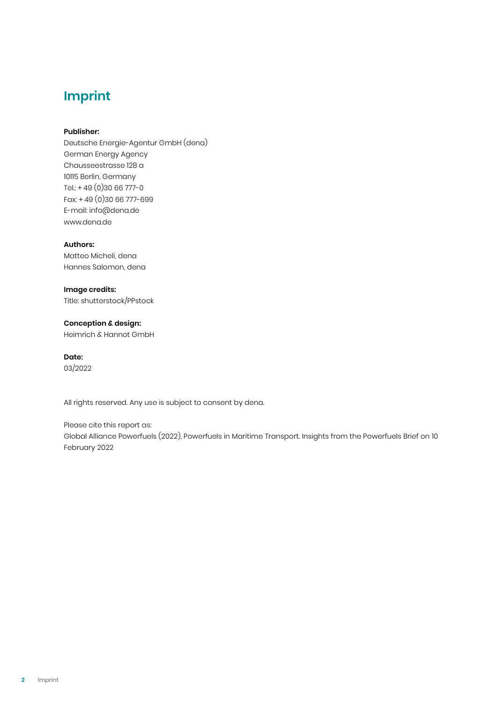### **Imprint**

### **Publisher:**

Deutsche Energie-Agentur GmbH (dena) German Energy Agency Chausseestrasse 128 a 10115 Berlin, Germany Tel.: + 49 (0)30 66 777-0 Fax: + 49 (0)30 66 777-699 E-mail: info@dena.de www.dena.de

### **Authors:**

Matteo Micheli, dena Hannes Salomon, dena

### **Image credits:**

Title: shutterstock/PPstock

### **Conception & design:**

Heimrich & Hannot GmbH

### **Date:**

03/2022

All rights reserved. Any use is subject to consent by dena.

Please cite this report as: Global Alliance Powerfuels (2022), Powerfuels in Maritime Transport. Insights from the Powerfuels Brief on 10 February 2022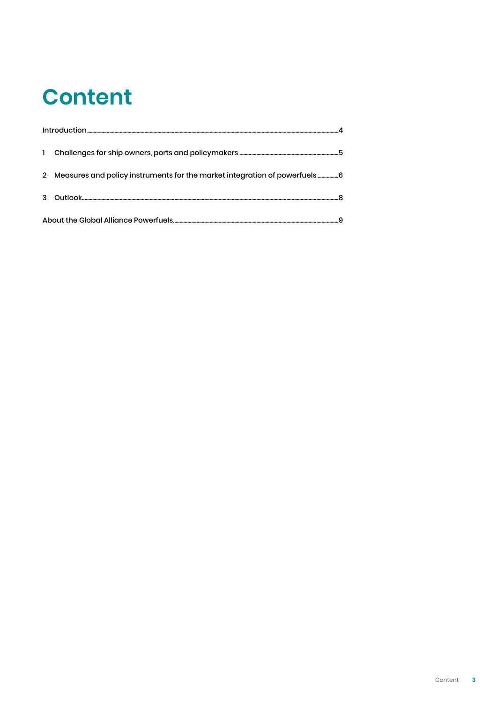### **Content**

| $\mathbf{1}$ |                                                                           |
|--------------|---------------------------------------------------------------------------|
| 2            | Measures and policy instruments for the market integration of powerfuels6 |
|              |                                                                           |
|              |                                                                           |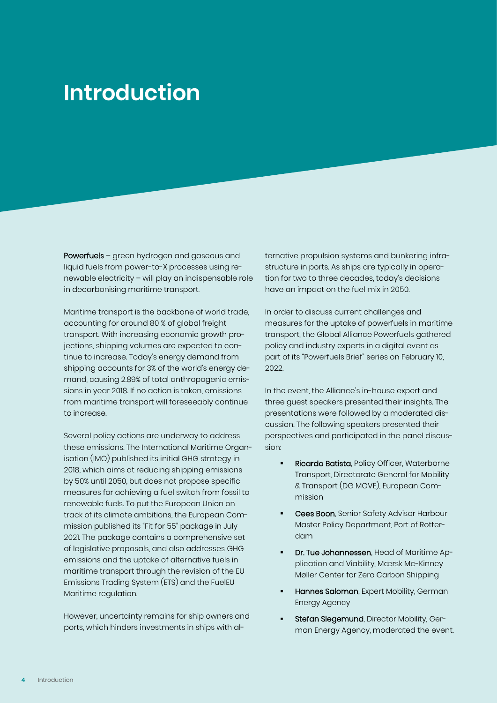### <span id="page-3-0"></span>**Introduction**

Powerfuels - green hydrogen and gaseous and liquid fuels from power-to-X processes using renewable electricity – will play an indispensable role in decarbonising maritime transport.

Maritime transport is the backbone of world trade, accounting for around 80 % of global freight transport. With increasing economic growth projections, shipping volumes are expected to continue to increase. Today's energy demand from shipping accounts for 3% of the world's energy demand, causing 2.89% of total anthropogenic emissions in year 2018. If no action is taken, emissions from maritime transport will foreseeably continue to increase.

Several policy actions are underway to address these emissions. The International Maritime Organisation (IMO) published its initial GHG strategy in 2018, which aims at reducing shipping emissions by 50% until 2050, but does not propose specific measures for achieving a fuel switch from fossil to renewable fuels. To put the European Union on track of its climate ambitions, the European Commission published its "Fit for 55" package in July 2021. The package contains a comprehensive set of legislative proposals, and also addresses GHG emissions and the uptake of alternative fuels in maritime transport through the revision of the EU Emissions Trading System (ETS) and the FuelEU Maritime regulation.

However, uncertainty remains for ship owners and ports, which hinders investments in ships with alternative propulsion systems and bunkering infrastructure in ports. As ships are typically in operation for two to three decades, today's decisions have an impact on the fuel mix in 2050.

In order to discuss current challenges and measures for the uptake of powerfuels in maritime transport, the Global Alliance Powerfuels gathered policy and industry experts in a digital event as part of its "Powerfuels Brief" series on February 10, 2022.

In the event, the Alliance's in-house expert and three guest speakers presented their insights. The presentations were followed by a moderated discussion. The following speakers presented their perspectives and participated in the panel discussion:

- Ricardo Batista, Policy Officer, Waterborne Transport, Directorate General for Mobility & Transport (DG MOVE), European Commission
- Cees Boon, Senior Safety Advisor Harbour Master Policy Department, Port of Rotterdam
- Dr. Tue Johannessen, Head of Maritime Application and Viability, Mærsk Mc-Kinney Møller Center for Zero Carbon Shipping
- Hannes Salomon, Expert Mobility, German Energy Agency
- Stefan Siegemund, Director Mobility, German Energy Agency, moderated the event.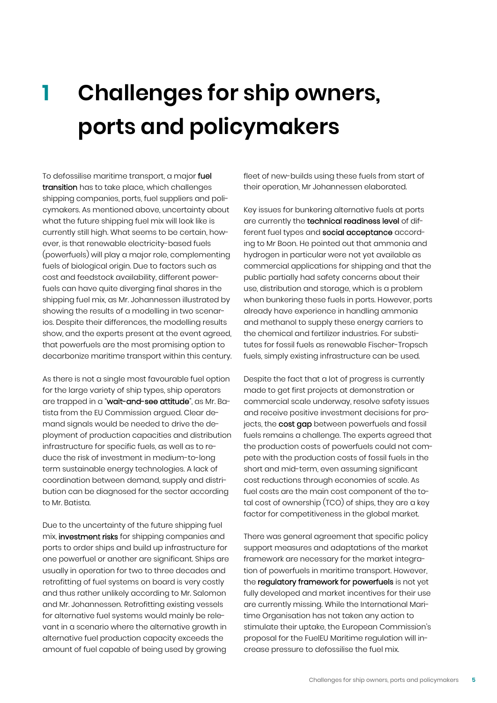## <span id="page-4-0"></span>**1 Challenges for ship owners, ports and policymakers**

To defossilise maritime transport, a major fuel transition has to take place, which challenges shipping companies, ports, fuel suppliers and policymakers. As mentioned above, uncertainty about what the future shipping fuel mix will look like is currently still high. What seems to be certain, however, is that renewable electricity-based fuels (powerfuels) will play a major role, complementing fuels of biological origin. Due to factors such as cost and feedstock availability, different powerfuels can have quite diverging final shares in the shipping fuel mix, as Mr. Johannessen illustrated by showing the results of a modelling in two scenarios. Despite their differences, the modelling results show, and the experts present at the event agreed, that powerfuels are the most promising option to decarbonize maritime transport within this century.

As there is not a single most favourable fuel option for the large variety of ship types, ship operators are trapped in a "wait-and-see attitude", as Mr. Batista from the EU Commission argued. Clear demand signals would be needed to drive the deployment of production capacities and distribution infrastructure for specific fuels, as well as to reduce the risk of investment in medium-to-long term sustainable energy technologies. A lack of coordination between demand, supply and distribution can be diagnosed for the sector according to Mr. Batista.

Due to the uncertainty of the future shipping fuel mix, investment risks for shipping companies and ports to order ships and build up infrastructure for one powerfuel or another are significant. Ships are usually in operation for two to three decades and retrofitting of fuel systems on board is very costly and thus rather unlikely according to Mr. Salomon and Mr. Johannessen. Retrofitting existing vessels for alternative fuel systems would mainly be relevant in a scenario where the alternative growth in alternative fuel production capacity exceeds the amount of fuel capable of being used by growing

fleet of new-builds using these fuels from start of their operation, Mr Johannessen elaborated.

Key issues for bunkering alternative fuels at ports are currently the technical readiness level of different fuel types and social acceptance according to Mr Boon. He pointed out that ammonia and hydrogen in particular were not yet available as commercial applications for shipping and that the public partially had safety concerns about their use, distribution and storage, which is a problem when bunkering these fuels in ports. However, ports already have experience in handling ammonia and methanol to supply these energy carriers to the chemical and fertilizer industries. For substitutes for fossil fuels as renewable Fischer-Tropsch fuels, simply existing infrastructure can be used.

Despite the fact that a lot of progress is currently made to get first projects at demonstration or commercial scale underway, resolve safety issues and receive positive investment decisions for projects, the **cost gap** between powerfuels and fossil fuels remains a challenge. The experts agreed that the production costs of powerfuels could not compete with the production costs of fossil fuels in the short and mid-term, even assuming significant cost reductions through economies of scale. As fuel costs are the main cost component of the total cost of ownership (TCO) of ships, they are a key factor for competitiveness in the global market.

There was general agreement that specific policy support measures and adaptations of the market framework are necessary for the market integration of powerfuels in maritime transport. However, the regulatory framework for powerfuels is not yet fully developed and market incentives for their use are currently missing. While the International Maritime Organisation has not taken any action to stimulate their uptake, the European Commission's proposal for the FuelEU Maritime regulation will increase pressure to defossilise the fuel mix.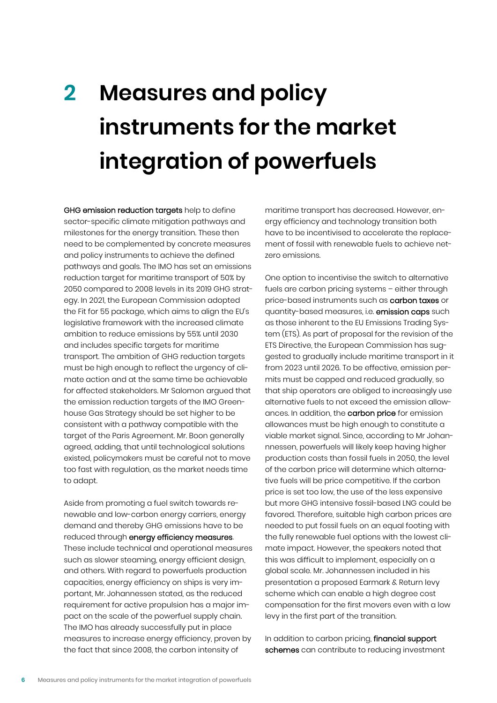# <span id="page-5-0"></span>**2 Measures and policy instruments for the market integration of powerfuels**

GHG emission reduction targets help to define sector-specific climate mitigation pathways and milestones for the energy transition. These then need to be complemented by concrete measures and policy instruments to achieve the defined pathways and goals. The IMO has set an emissions reduction target for maritime transport of 50% by 2050 compared to 2008 levels in its 2019 GHG strategy. In 2021, the European Commission adopted the Fit for 55 package, which aims to align the EU's legislative framework with the increased climate ambition to reduce emissions by 55% until 2030 and includes specific targets for maritime transport. The ambition of GHG reduction targets must be high enough to reflect the urgency of climate action and at the same time be achievable for affected stakeholders. Mr Salomon argued that the emission reduction targets of the IMO Greenhouse Gas Strategy should be set higher to be consistent with a pathway compatible with the target of the Paris Agreement. Mr. Boon generally agreed, adding, that until technological solutions existed, policymakers must be careful not to move too fast with regulation, as the market needs time to adapt.

Aside from promoting a fuel switch towards renewable and low-carbon energy carriers, energy demand and thereby GHG emissions have to be reduced through energy efficiency measures. These include technical and operational measures such as slower steaming, energy efficient design, and others. With regard to powerfuels production capacities, energy efficiency on ships is very important, Mr. Johannessen stated, as the reduced requirement for active propulsion has a major impact on the scale of the powerfuel supply chain. The IMO has already successfully put in place measures to increase energy efficiency, proven by the fact that since 2008, the carbon intensity of

maritime transport has decreased. However, energy efficiency and technology transition both have to be incentivised to accelerate the replacement of fossil with renewable fuels to achieve netzero emissions.

One option to incentivise the switch to alternative fuels are carbon pricing systems – either through price-based instruments such as carbon taxes or quantity-based measures, i.e. emission caps such as those inherent to the EU Emissions Trading System (ETS). As part of proposal for the revision of the ETS Directive, the European Commission has suggested to gradually include maritime transport in it from 2023 until 2026. To be effective, emission permits must be capped and reduced gradually, so that ship operators are obliged to increasingly use alternative fuels to not exceed the emission allowances. In addition, the carbon price for emission allowances must be high enough to constitute a viable market signal. Since, according to Mr Johannnessen, powerfuels will likely keep having higher production costs than fossil fuels in 2050, the level of the carbon price will determine which alternative fuels will be price competitive. If the carbon price is set too low, the use of the less expensive but more GHG intensive fossil-based LNG could be favored. Therefore, suitable high carbon prices are needed to put fossil fuels on an equal footing with the fully renewable fuel options with the lowest climate impact. However, the speakers noted that this was difficult to implement, especially on a global scale. Mr. Johannessen included in his presentation a proposed Earmark & Return levy scheme which can enable a high degree cost compensation for the first movers even with a low levy in the first part of the transition.

In addition to carbon pricing, financial support schemes can contribute to reducing investment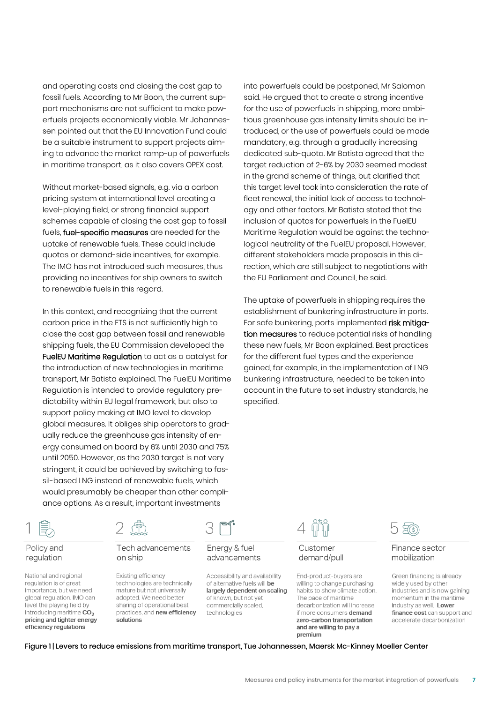and operating costs and closing the cost gap to fossil fuels. According to Mr Boon, the current support mechanisms are not sufficient to make powerfuels projects economically viable. Mr Johannessen pointed out that the EU Innovation Fund could be a suitable instrument to support projects aiming to advance the market ramp-up of powerfuels in maritime transport, as it also covers OPEX cost.

Without market-based signals, e.g. via a carbon pricing system at international level creating a level-playing field, or strong financial support schemes capable of closing the cost gap to fossil fuels, fuel-specific measures are needed for the uptake of renewable fuels. These could include quotas or demand-side incentives, for example. The IMO has not introduced such measures, thus providing no incentives for ship owners to switch to renewable fuels in this regard.

In this context, and recognizing that the current carbon price in the ETS is not sufficiently high to close the cost gap between fossil and renewable shipping fuels, the EU Commission developed the FuelEU Maritime Regulation to act as a catalyst for the introduction of new technologies in maritime transport, Mr Batista explained. The FuelEU Maritime Regulation is intended to provide regulatory predictability within EU legal framework, but also to support policy making at IMO level to develop global measures. It obliges ship operators to gradually reduce the greenhouse gas intensity of energy consumed on board by 6% until 2030 and 75% until 2050. However, as the 2030 target is not very stringent, it could be achieved by switching to fossil-based LNG instead of renewable fuels, which would presumably be cheaper than other compliance options. As a result, important investments

into powerfuels could be postponed, Mr Salomon said. He argued that to create a strong incentive for the use of powerfuels in shipping, more ambitious greenhouse gas intensity limits should be introduced, or the use of powerfuels could be made mandatory, e.g. through a gradually increasing dedicated sub-quota. Mr Batista agreed that the target reduction of 2-6% by 2030 seemed modest in the grand scheme of things, but clarified that this target level took into consideration the rate of fleet renewal, the initial lack of access to technology and other factors. Mr Batista stated that the inclusion of quotas for powerfuels in the FuelEU Maritime Regulation would be against the technological neutrality of the FuelEU proposal. However, different stakeholders made proposals in this direction, which are still subject to negotiations with the EU Parliament and Council, he said.

The uptake of powerfuels in shipping requires the establishment of bunkering infrastructure in ports. For safe bunkering, ports implemented risk mitigation measures to reduce potential risks of handling these new fuels, Mr Boon explained. Best practices for the different fuel types and the experience gained, for example, in the implementation of LNG bunkering infrastructure, needed to be taken into account in the future to set industry standards, he specified.

### Policy and requlation

National and regional regulation is of great importance, but we need global regulation. IMO can level the playing field by introducing maritime CO<sub>2</sub> pricing and tighter energy efficiency regulations

### Tech advancements on ship

Existing efficiency technologies are technically mature but not universally adopted. We need better sharing of operational best practices, and new efficiency solutions

#### Energy & fuel advancements

Accessibility and availability of alternative fuels will be largely dependent on scaling of known, but not yet commercially scaled. technologies

#### Customer demand/pull

End-product-buyers are willing to change purchasing habits to show climate action. The pace of maritime decarbonization will increase if more consumers demand zero-carbon transportation and are willing to pay a premium



### Finance sector mobilization

Green financing is already widely used by other industries and is now gaining momentum in the maritime industry as well. Lower finance cost can support and accelerate decarbonization

Figure 1 | Levers to reduce emissions from maritime transport, Tue Johannessen, Maersk Mc-Kinney Moeller Center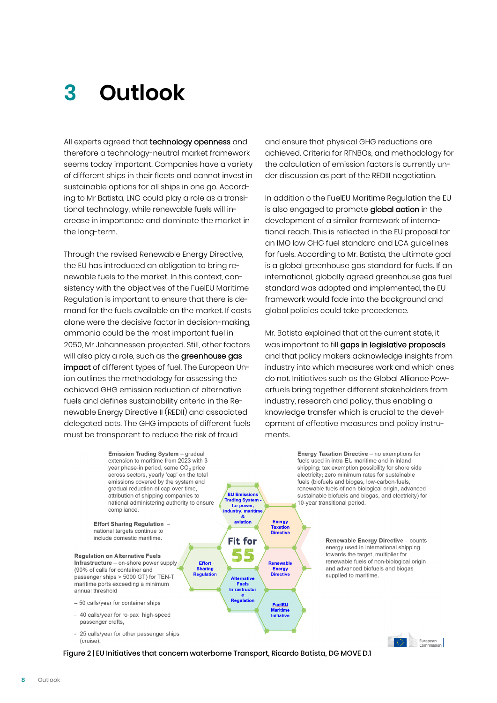## <span id="page-7-0"></span>**3 Outlook**

All experts agreed that technology openness and therefore a technology-neutral market framework seems today important. Companies have a variety of different ships in their fleets and cannot invest in sustainable options for all ships in one go. According to Mr Batista, LNG could play a role as a transitional technology, while renewable fuels will increase in importance and dominate the market in the long-term.

Through the revised Renewable Energy Directive, the EU has introduced an obligation to bring renewable fuels to the market. In this context, consistency with the objectives of the FuelEU Maritime Regulation is important to ensure that there is demand for the fuels available on the market. If costs alone were the decisive factor in decision-making, ammonia could be the most important fuel in 2050, Mr Johannessen projected. Still, other factors will also play a role, such as the greenhouse gas impact of different types of fuel. The European Union outlines the methodology for assessing the achieved GHG emission reduction of alternative fuels and defines sustainability criteria in the Renewable Energy Directive II (REDII) and associated delegated acts. The GHG impacts of different fuels must be transparent to reduce the risk of fraud

and ensure that physical GHG reductions are achieved. Criteria for RFNBOs, and methodology for the calculation of emission factors is currently under discussion as part of the REDIII negotiation.

In addition o the FuelEU Maritime Regulation the EU is also engaged to promote global action in the development of a similar framework of international reach. This is reflected in the EU proposal for an IMO low GHG fuel standard and LCA guidelines for fuels. According to Mr. Batista, the ultimate goal is a global greenhouse gas standard for fuels. If an international, globally agreed greenhouse gas fuel standard was adopted and implemented, the EU framework would fade into the background and global policies could take precedence.

Mr. Batista explained that at the current state, it was important to fill gaps in legislative proposals and that policy makers acknowledge insights from industry into which measures work and which ones do not. Initiatives such as the Global Alliance Powerfuels bring together different stakeholders from industry, research and policy, thus enabling a knowledge transfer which is crucial to the development of effective measures and policy instruments.



Figure 2 | EU Initiatives that concern waterborne Transport, Ricardo Batista, DG MOVE D.1